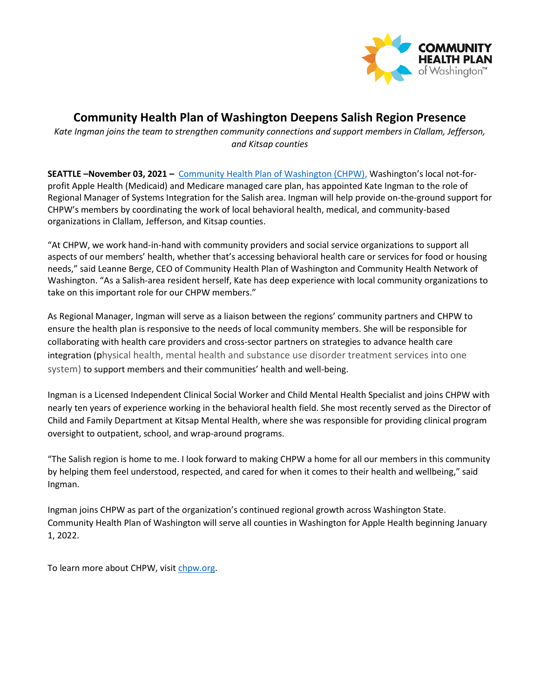

## **Community Health Plan of Washington Deepens Salish Region Presence**

*Kate Ingman joins the team to strengthen community connections and support members in Clallam, Jefferson, and Kitsap counties*

**SEATTLE –November 03, 2021 –** [Community Health Plan of Washington \(CHPW\),](http://www.chpw.org/) Washington's local not-forprofit Apple Health (Medicaid) and Medicare managed care plan, has appointed Kate Ingman to the role of Regional Manager of Systems Integration for the Salish area. Ingman will help provide on-the-ground support for CHPW's members by coordinating the work of local behavioral health, medical, and community-based organizations in Clallam, Jefferson, and Kitsap counties.

"At CHPW, we work hand-in-hand with community providers and social service organizations to support all aspects of our members' health, whether that's accessing behavioral health care or services for food or housing needs," said Leanne Berge, CEO of Community Health Plan of Washington and Community Health Network of Washington. "As a Salish-area resident herself, Kate has deep experience with local community organizations to take on this important role for our CHPW members."

As Regional Manager, Ingman will serve as a liaison between the regions' community partners and CHPW to ensure the health plan is responsive to the needs of local community members. She will be responsible for collaborating with health care providers and cross-sector partners on strategies to advance health care integration (physical health, mental health and substance use disorder treatment services into one system) to support members and their communities' health and well-being.

Ingman is a Licensed Independent Clinical Social Worker and Child Mental Health Specialist and joins CHPW with nearly ten years of experience working in the behavioral health field. She most recently served as the Director of Child and Family Department at Kitsap Mental Health, where she was responsible for providing clinical program oversight to outpatient, school, and wrap-around programs.

"The Salish region is home to me. I look forward to making CHPW a home for all our members in this community by helping them feel understood, respected, and cared for when it comes to their health and wellbeing," said Ingman.

Ingman joins CHPW as part of the organization's continued regional growth across Washington State. Community Health Plan of Washington will serve all counties in Washington for Apple Health beginning January 1, 2022.

To learn more about CHPW, visit [chpw.org.](http://www.chpw.org/)